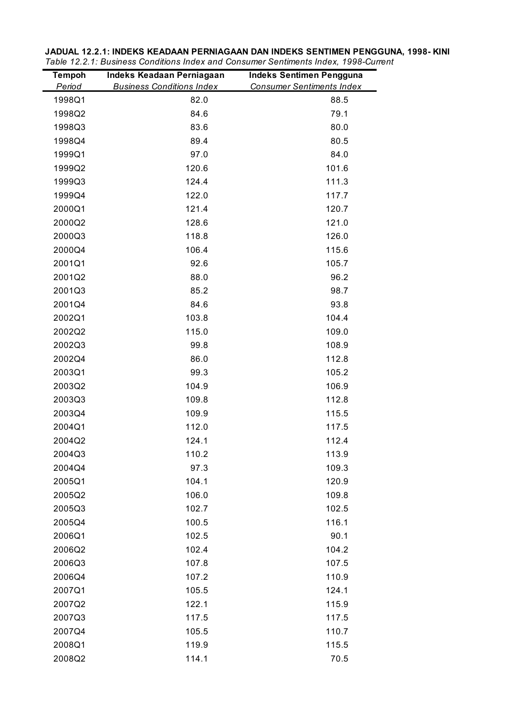| <b>Tempoh</b> | Indeks Keadaan Perniagaan        | <b>Indeks Sentimen Pengguna</b>  |
|---------------|----------------------------------|----------------------------------|
| Period        | <b>Business Conditions Index</b> | <b>Consumer Sentiments Index</b> |
| 1998Q1        | 82.0                             | 88.5                             |
| 1998Q2        | 84.6                             | 79.1                             |
| 1998Q3        | 83.6                             | 80.0                             |
| 1998Q4        | 89.4                             | 80.5                             |
| 1999Q1        | 97.0                             | 84.0                             |
| 1999Q2        | 120.6                            | 101.6                            |
| 1999Q3        | 124.4                            | 111.3                            |
| 1999Q4        | 122.0                            | 117.7                            |
| 2000Q1        | 121.4                            | 120.7                            |
| 2000Q2        | 128.6                            | 121.0                            |
| 2000Q3        | 118.8                            | 126.0                            |
| 2000Q4        | 106.4                            | 115.6                            |
| 2001Q1        | 92.6                             | 105.7                            |
| 2001Q2        | 88.0                             | 96.2                             |
| 2001Q3        | 85.2                             | 98.7                             |
| 2001Q4        | 84.6                             | 93.8                             |
| 2002Q1        | 103.8                            | 104.4                            |
| 2002Q2        | 115.0                            | 109.0                            |
| 2002Q3        | 99.8                             | 108.9                            |
| 2002Q4        | 86.0                             | 112.8                            |
| 2003Q1        | 99.3                             | 105.2                            |
| 2003Q2        | 104.9                            | 106.9                            |
| 2003Q3        | 109.8                            | 112.8                            |
| 2003Q4        | 109.9                            | 115.5                            |
| 2004Q1        | 112.0                            | 117.5                            |
| 2004Q2        | 124.1                            | 112.4                            |
| 2004Q3        | 110.2                            | 113.9                            |
| 2004Q4        | 97.3                             | 109.3                            |
| 2005Q1        | 104.1                            | 120.9                            |
| 2005Q2        | 106.0                            | 109.8                            |
| 2005Q3        | 102.7                            | 102.5                            |
| 2005Q4        | 100.5                            | 116.1                            |
| 2006Q1        | 102.5                            | 90.1                             |
| 2006Q2        | 102.4                            | 104.2                            |
| 2006Q3        | 107.8                            | 107.5                            |
| 2006Q4        | 107.2                            | 110.9                            |
| 2007Q1        | 105.5                            | 124.1                            |
| 2007Q2        | 122.1                            | 115.9                            |
| 2007Q3        | 117.5                            | 117.5                            |
| 2007Q4        | 105.5                            | 110.7                            |
| 2008Q1        | 119.9                            | 115.5                            |
| 2008Q2        | 114.1                            | 70.5                             |

**JADUAL 12.2.1: INDEKS KEADAAN PERNIAGAAN DAN INDEKS SENTIMEN PENGGUNA, 1998- KINI** *Table 12.2.1: Business Conditions Index and Consumer Sentiments Index, 1998-Current*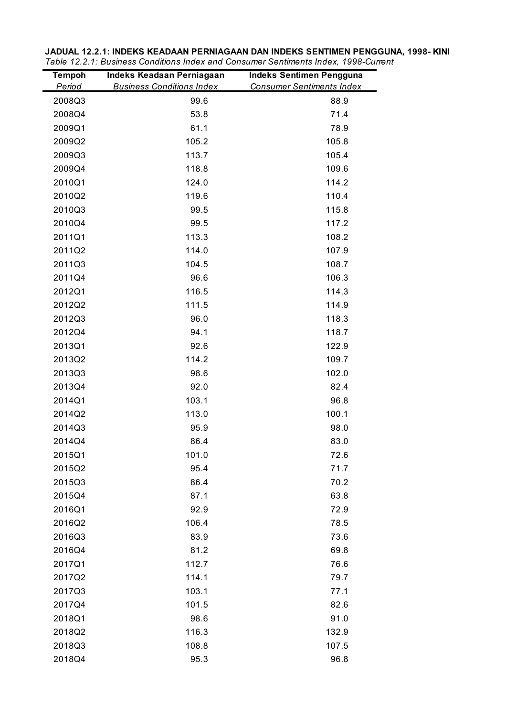| <b>Tempoh</b> | Indeks Keadaan Perniagaan        | <b>Indeks Sentimen Pengguna</b>  |
|---------------|----------------------------------|----------------------------------|
| Period        | <b>Business Conditions Index</b> | <b>Consumer Sentiments Index</b> |
| 2008Q3        | 99.6                             | 88.9                             |
| 2008Q4        | 53.8                             | 71.4                             |
| 2009Q1        | 61.1                             | 78.9                             |
| 2009Q2        | 105.2                            | 105.8                            |
| 2009Q3        | 113.7                            | 105.4                            |
| 2009Q4        | 118.8                            | 109.6                            |
| 2010Q1        | 124.0                            | 114.2                            |
| 2010Q2        | 119.6                            | 110.4                            |
| 2010Q3        | 99.5                             | 115.8                            |
| 2010Q4        | 99.5                             | 117.2                            |
| 2011Q1        | 113.3                            | 108.2                            |
| 2011Q2        | 114.0                            | 107.9                            |
| 2011Q3        | 104.5                            | 108.7                            |
| 2011Q4        | 96.6                             | 106.3                            |
| 2012Q1        | 116.5                            | 114.3                            |
| 2012Q2        | 111.5                            | 114.9                            |
| 2012Q3        | 96.0                             | 118.3                            |
| 2012Q4        | 94.1                             | 118.7                            |
| 2013Q1        | 92.6                             | 122.9                            |
| 2013Q2        | 114.2                            | 109.7                            |
| 2013Q3        | 98.6                             | 102.0                            |
| 2013Q4        | 92.0                             | 82.4                             |
| 2014Q1        | 103.1                            | 96.8                             |
| 2014Q2        | 113.0                            | 100.1                            |
| 2014Q3        | 95.9                             | 98.0                             |
| 2014Q4        | 86.4                             | 83.0                             |
| 2015Q1        | 101.0                            | 72.6                             |
| 2015Q2        | 95.4                             | 71.7                             |
| 2015Q3        | 86.4                             | 70.2                             |
| 2015Q4        | 87.1                             | 63.8                             |
| 2016Q1        | 92.9                             | 72.9                             |
| 2016Q2        | 106.4                            | 78.5                             |
| 2016Q3        | 83.9                             | 73.6                             |
| 2016Q4        | 81.2                             | 69.8                             |
| 2017Q1        | 112.7                            | 76.6                             |
| 2017Q2        | 114.1                            | 79.7                             |
| 2017Q3        | 103.1                            | 77.1                             |
| 2017Q4        | 101.5                            | 82.6                             |
| 2018Q1        | 98.6                             | 91.0                             |
| 2018Q2        | 116.3                            | 132.9                            |
| 2018Q3        | 108.8                            | 107.5                            |
| 2018Q4        | 95.3                             | 96.8                             |

**JADUAL 12.2.1: INDEKS KEADAAN PERNIAGAAN DAN INDEKS SENTIMEN PENGGUNA, 1998- KINI** *Table 12.2.1: Business Conditions Index and Consumer Sentiments Index, 1998-Current*